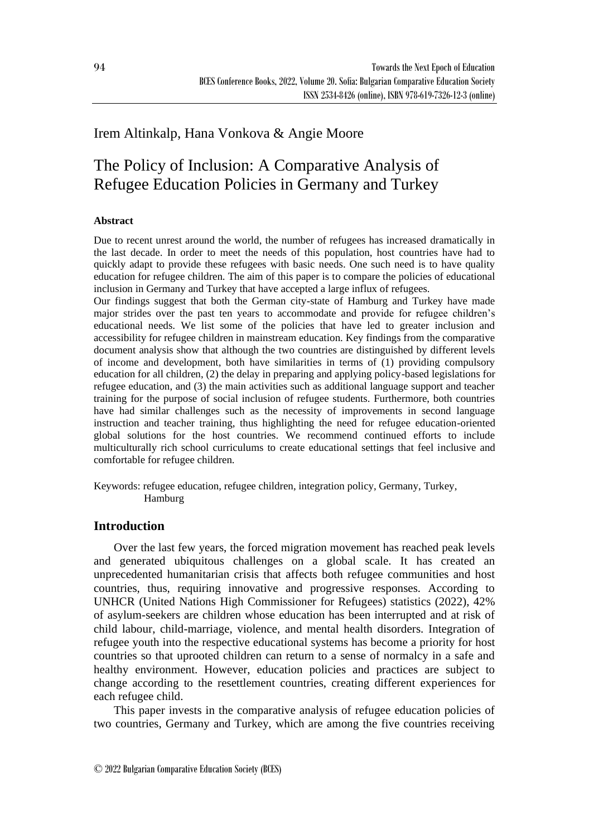## Irem Altinkalp, Hana Vonkova & Angie Moore

# The Policy of Inclusion: A Comparative Analysis of Refugee Education Policies in Germany and Turkey

## **Abstract**

Due to recent unrest around the world, the number of refugees has increased dramatically in the last decade. In order to meet the needs of this population, host countries have had to quickly adapt to provide these refugees with basic needs. One such need is to have quality education for refugee children. The aim of this paper is to compare the policies of educational inclusion in Germany and Turkey that have accepted a large influx of refugees.

Our findings suggest that both the German city-state of Hamburg and Turkey have made major strides over the past ten years to accommodate and provide for refugee children's educational needs. We list some of the policies that have led to greater inclusion and accessibility for refugee children in mainstream education. Key findings from the comparative document analysis show that although the two countries are distinguished by different levels of income and development, both have similarities in terms of (1) providing compulsory education for all children, (2) the delay in preparing and applying policy-based legislations for refugee education, and (3) the main activities such as additional language support and teacher training for the purpose of social inclusion of refugee students. Furthermore, both countries have had similar challenges such as the necessity of improvements in second language instruction and teacher training, thus highlighting the need for refugee education-oriented global solutions for the host countries. We recommend continued efforts to include multiculturally rich school curriculums to create educational settings that feel inclusive and comfortable for refugee children.

Keywords: refugee education, refugee children, integration policy, Germany, Turkey, Hamburg

## **Introduction**

Over the last few years, the forced migration movement has reached peak levels and generated ubiquitous challenges on a global scale. It has created an unprecedented humanitarian crisis that affects both refugee communities and host countries, thus, requiring innovative and progressive responses. According to UNHCR (United Nations High Commissioner for Refugees) statistics (2022), 42% of asylum-seekers are children whose education has been interrupted and at risk of child labour, child-marriage, violence, and mental health disorders. Integration of refugee youth into the respective educational systems has become a priority for host countries so that uprooted children can return to a sense of normalcy in a safe and healthy environment. However, education policies and practices are subject to change according to the resettlement countries, creating different experiences for each refugee child.

This paper invests in the comparative analysis of refugee education policies of two countries, Germany and Turkey, which are among the five countries receiving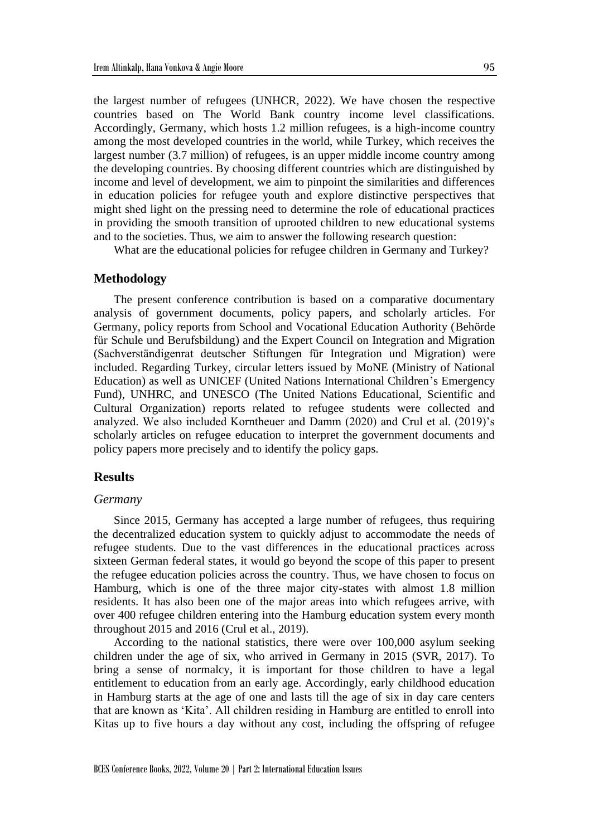the largest number of refugees (UNHCR, 2022). We have chosen the respective countries based on The World Bank country income level classifications. Accordingly, Germany, which hosts 1.2 million refugees, is a high-income country among the most developed countries in the world, while Turkey, which receives the largest number (3.7 million) of refugees, is an upper middle income country among the developing countries. By choosing different countries which are distinguished by income and level of development, we aim to pinpoint the similarities and differences in education policies for refugee youth and explore distinctive perspectives that might shed light on the pressing need to determine the role of educational practices in providing the smooth transition of uprooted children to new educational systems and to the societies. Thus, we aim to answer the following research question:

What are the educational policies for refugee children in Germany and Turkey?

#### **Methodology**

The present conference contribution is based on a comparative documentary analysis of government documents, policy papers, and scholarly articles. For Germany, policy reports from School and Vocational Education Authority (Behörde für Schule und Berufsbildung) and the Expert Council on Integration and Migration (Sachverständigenrat deutscher Stiftungen für Integration und Migration) were included. Regarding Turkey, circular letters issued by MoNE (Ministry of National Education) as well as UNICEF (United Nations International Children's Emergency Fund), UNHRC, and UNESCO (The United Nations Educational, Scientific and Cultural Organization) reports related to refugee students were collected and analyzed. We also included Korntheuer and Damm (2020) and Crul et al. (2019)'s scholarly articles on refugee education to interpret the government documents and policy papers more precisely and to identify the policy gaps.

#### **Results**

#### *Germany*

Since 2015, Germany has accepted a large number of refugees, thus requiring the decentralized education system to quickly adjust to accommodate the needs of refugee students. Due to the vast differences in the educational practices across sixteen German federal states, it would go beyond the scope of this paper to present the refugee education policies across the country. Thus, we have chosen to focus on Hamburg, which is one of the three major city-states with almost 1.8 million residents. It has also been one of the major areas into which refugees arrive, with over 400 refugee children entering into the Hamburg education system every month throughout 2015 and 2016 (Crul et al., 2019).

According to the national statistics, there were over 100,000 asylum seeking children under the age of six, who arrived in Germany in 2015 (SVR, 2017). To bring a sense of normalcy, it is important for those children to have a legal entitlement to education from an early age. Accordingly, early childhood education in Hamburg starts at the age of one and lasts till the age of six in day care centers that are known as 'Kita'. All children residing in Hamburg are entitled to enroll into Kitas up to five hours a day without any cost, including the offspring of refugee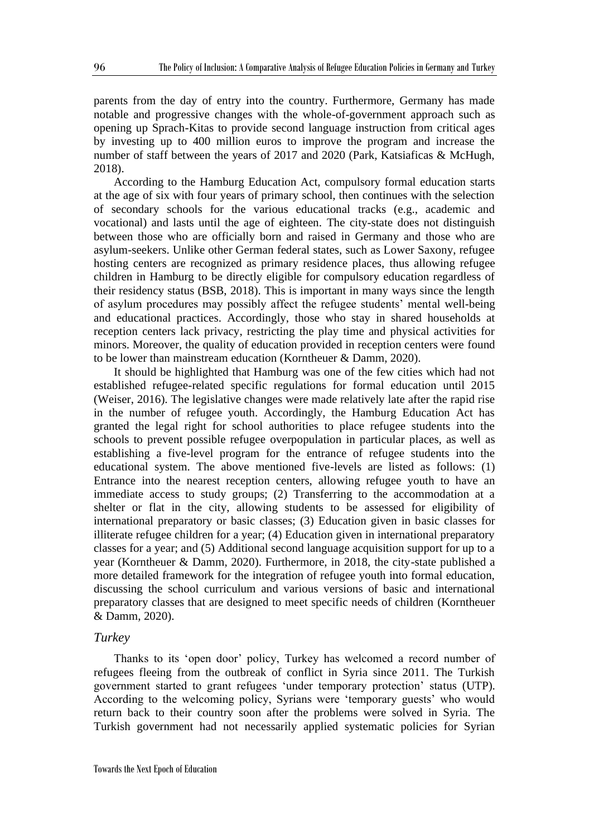parents from the day of entry into the country. Furthermore, Germany has made notable and progressive changes with the whole-of-government approach such as opening up Sprach-Kitas to provide second language instruction from critical ages by investing up to 400 million euros to improve the program and increase the number of staff between the years of 2017 and 2020 (Park, Katsiaficas & McHugh, 2018).

According to the Hamburg Education Act, compulsory formal education starts at the age of six with four years of primary school, then continues with the selection of secondary schools for the various educational tracks (e.g., academic and vocational) and lasts until the age of eighteen. The city-state does not distinguish between those who are officially born and raised in Germany and those who are asylum-seekers. Unlike other German federal states, such as Lower Saxony, refugee hosting centers are recognized as primary residence places, thus allowing refugee children in Hamburg to be directly eligible for compulsory education regardless of their residency status (BSB, 2018). This is important in many ways since the length of asylum procedures may possibly affect the refugee students' mental well-being and educational practices. Accordingly, those who stay in shared households at reception centers lack privacy, restricting the play time and physical activities for minors. Moreover, the quality of education provided in reception centers were found to be lower than mainstream education (Korntheuer & Damm, 2020).

It should be highlighted that Hamburg was one of the few cities which had not established refugee-related specific regulations for formal education until 2015 (Weiser, 2016). The legislative changes were made relatively late after the rapid rise in the number of refugee youth. Accordingly, the Hamburg Education Act has granted the legal right for school authorities to place refugee students into the schools to prevent possible refugee overpopulation in particular places, as well as establishing a five-level program for the entrance of refugee students into the educational system. The above mentioned five-levels are listed as follows: (1) Entrance into the nearest reception centers, allowing refugee youth to have an immediate access to study groups; (2) Transferring to the accommodation at a shelter or flat in the city, allowing students to be assessed for eligibility of international preparatory or basic classes; (3) Education given in basic classes for illiterate refugee children for a year; (4) Education given in international preparatory classes for a year; and (5) Additional second language acquisition support for up to a year (Korntheuer & Damm, 2020). Furthermore, in 2018, the city-state published a more detailed framework for the integration of refugee youth into formal education, discussing the school curriculum and various versions of basic and international preparatory classes that are designed to meet specific needs of children (Korntheuer & Damm, 2020).

#### *Turkey*

Thanks to its 'open door' policy, Turkey has welcomed a record number of refugees fleeing from the outbreak of conflict in Syria since 2011. The Turkish government started to grant refugees 'under temporary protection' status (UTP). According to the welcoming policy, Syrians were 'temporary guests' who would return back to their country soon after the problems were solved in Syria. The Turkish government had not necessarily applied systematic policies for Syrian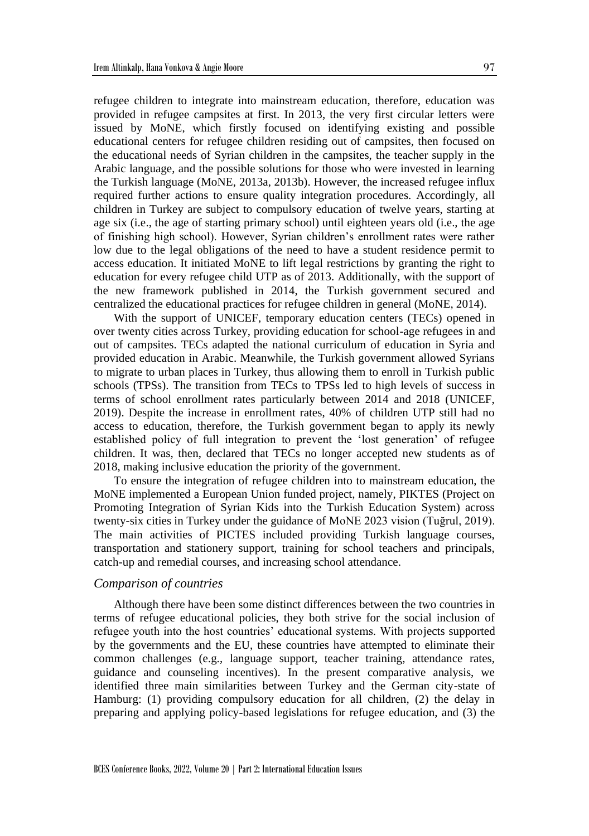refugee children to integrate into mainstream education, therefore, education was provided in refugee campsites at first. In 2013, the very first circular letters were issued by MoNE, which firstly focused on identifying existing and possible educational centers for refugee children residing out of campsites, then focused on the educational needs of Syrian children in the campsites, the teacher supply in the Arabic language, and the possible solutions for those who were invested in learning the Turkish language (MoNE, 2013a, 2013b). However, the increased refugee influx required further actions to ensure quality integration procedures. Accordingly, all children in Turkey are subject to compulsory education of twelve years, starting at age six (i.e., the age of starting primary school) until eighteen years old (i.e., the age of finishing high school). However, Syrian children's enrollment rates were rather low due to the legal obligations of the need to have a student residence permit to access education. It initiated MoNE to lift legal restrictions by granting the right to education for every refugee child UTP as of 2013. Additionally, with the support of the new framework published in 2014, the Turkish government secured and centralized the educational practices for refugee children in general (MoNE, 2014).

With the support of UNICEF, temporary education centers (TECs) opened in over twenty cities across Turkey, providing education for school-age refugees in and out of campsites. TECs adapted the national curriculum of education in Syria and provided education in Arabic. Meanwhile, the Turkish government allowed Syrians to migrate to urban places in Turkey, thus allowing them to enroll in Turkish public schools (TPSs). The transition from TECs to TPSs led to high levels of success in terms of school enrollment rates particularly between 2014 and 2018 (UNICEF, 2019). Despite the increase in enrollment rates, 40% of children UTP still had no access to education, therefore, the Turkish government began to apply its newly established policy of full integration to prevent the 'lost generation' of refugee children. It was, then, declared that TECs no longer accepted new students as of 2018, making inclusive education the priority of the government.

To ensure the integration of refugee children into to mainstream education, the MoNE implemented a European Union funded project, namely, PIKTES (Project on Promoting Integration of Syrian Kids into the Turkish Education System) across twenty-six cities in Turkey under the guidance of MoNE 2023 vision (Tuğrul, 2019). The main activities of PICTES included providing Turkish language courses, transportation and stationery support, training for school teachers and principals, catch-up and remedial courses, and increasing school attendance.

#### *Comparison of countries*

Although there have been some distinct differences between the two countries in terms of refugee educational policies, they both strive for the social inclusion of refugee youth into the host countries' educational systems. With projects supported by the governments and the EU, these countries have attempted to eliminate their common challenges (e.g., language support, teacher training, attendance rates, guidance and counseling incentives). In the present comparative analysis, we identified three main similarities between Turkey and the German city-state of Hamburg: (1) providing compulsory education for all children, (2) the delay in preparing and applying policy-based legislations for refugee education, and (3) the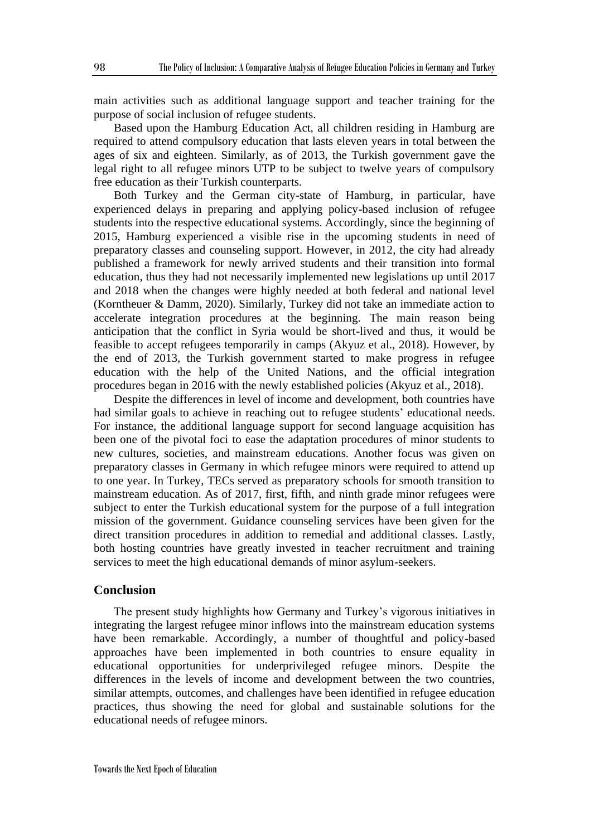main activities such as additional language support and teacher training for the purpose of social inclusion of refugee students.

Based upon the Hamburg Education Act, all children residing in Hamburg are required to attend compulsory education that lasts eleven years in total between the ages of six and eighteen. Similarly, as of 2013, the Turkish government gave the legal right to all refugee minors UTP to be subject to twelve years of compulsory free education as their Turkish counterparts.

Both Turkey and the German city-state of Hamburg, in particular, have experienced delays in preparing and applying policy-based inclusion of refugee students into the respective educational systems. Accordingly, since the beginning of 2015, Hamburg experienced a visible rise in the upcoming students in need of preparatory classes and counseling support. However, in 2012, the city had already published a framework for newly arrived students and their transition into formal education, thus they had not necessarily implemented new legislations up until 2017 and 2018 when the changes were highly needed at both federal and national level (Korntheuer & Damm, 2020). Similarly, Turkey did not take an immediate action to accelerate integration procedures at the beginning. The main reason being anticipation that the conflict in Syria would be short-lived and thus, it would be feasible to accept refugees temporarily in camps (Akyuz et al., 2018). However, by the end of 2013, the Turkish government started to make progress in refugee education with the help of the United Nations, and the official integration procedures began in 2016 with the newly established policies (Akyuz et al., 2018).

Despite the differences in level of income and development, both countries have had similar goals to achieve in reaching out to refugee students' educational needs. For instance, the additional language support for second language acquisition has been one of the pivotal foci to ease the adaptation procedures of minor students to new cultures, societies, and mainstream educations. Another focus was given on preparatory classes in Germany in which refugee minors were required to attend up to one year. In Turkey, TECs served as preparatory schools for smooth transition to mainstream education. As of 2017, first, fifth, and ninth grade minor refugees were subject to enter the Turkish educational system for the purpose of a full integration mission of the government. Guidance counseling services have been given for the direct transition procedures in addition to remedial and additional classes. Lastly, both hosting countries have greatly invested in teacher recruitment and training services to meet the high educational demands of minor asylum-seekers.

## **Conclusion**

The present study highlights how Germany and Turkey's vigorous initiatives in integrating the largest refugee minor inflows into the mainstream education systems have been remarkable. Accordingly, a number of thoughtful and policy-based approaches have been implemented in both countries to ensure equality in educational opportunities for underprivileged refugee minors. Despite the differences in the levels of income and development between the two countries, similar attempts, outcomes, and challenges have been identified in refugee education practices, thus showing the need for global and sustainable solutions for the educational needs of refugee minors.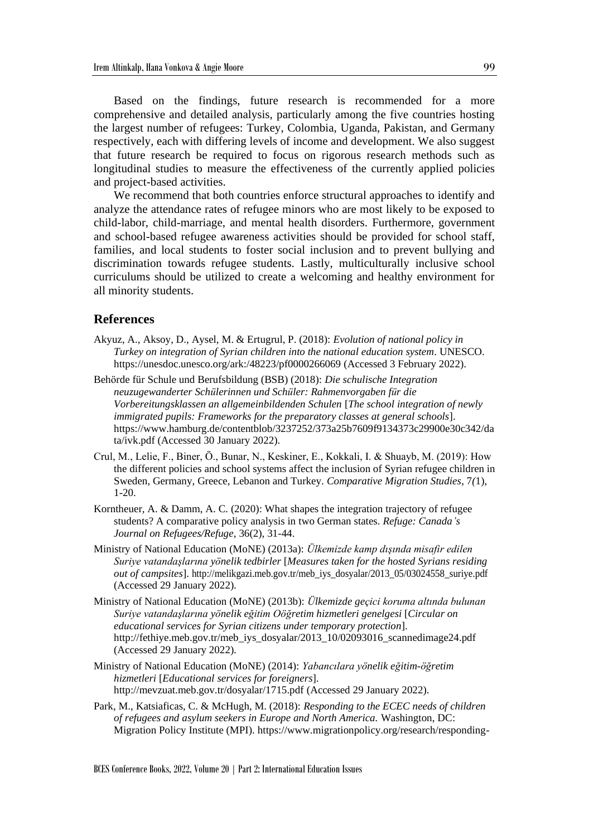Based on the findings, future research is recommended for a more comprehensive and detailed analysis, particularly among the five countries hosting the largest number of refugees: Turkey, Colombia, Uganda, Pakistan, and Germany respectively, each with differing levels of income and development. We also suggest that future research be required to focus on rigorous research methods such as longitudinal studies to measure the effectiveness of the currently applied policies and project-based activities.

We recommend that both countries enforce structural approaches to identify and analyze the attendance rates of refugee minors who are most likely to be exposed to child-labor, child-marriage, and mental health disorders. Furthermore, government and school-based refugee awareness activities should be provided for school staff, families, and local students to foster social inclusion and to prevent bullying and discrimination towards refugee students. Lastly, multiculturally inclusive school curriculums should be utilized to create a welcoming and healthy environment for all minority students.

## **References**

- Akyuz, A., Aksoy, D., Aysel, M. & Ertugrul, P. (2018): *Evolution of national policy in Turkey on integration of Syrian children into the national education system*. UNESCO. https://unesdoc.unesco.org/ark:/48223/pf0000266069 (Accessed 3 February 2022).
- Behörde für Schule und Berufsbildung (BSB) (2018): *Die schulische Integration neuzugewanderter Schülerinnen und Schüler: Rahmenvorgaben für die Vorbereitungsklassen an allgemeinbildenden Schulen* [*The school integration of newly immigrated pupils: Frameworks for the preparatory classes at general schools*]. https://www.hamburg.de/contentblob/3237252/373a25b7609f9134373c29900e30c342/da ta/ivk.pdf (Accessed 30 January 2022).
- Crul, M., Lelie, F., Biner, Ö., Bunar, N., Keskiner, E., Kokkali, I. & Shuayb, M. (2019): How the different policies and school systems affect the inclusion of Syrian refugee children in Sweden, Germany, Greece, Lebanon and Turkey. *Comparative Migration Studies*, 7*(*1), 1-20.
- Korntheuer, A. & Damm, A. C. (2020): What shapes the integration trajectory of refugee students? A comparative policy analysis in two German states. *Refuge: Canada's Journal on Refugees/Refuge*, 36(2), 31-44.
- Ministry of National Education (MoNE) (2013a): *Ülkemizde kamp dışında misafir edilen Suriye vatandaşlarına yönelik tedbirler* [*Measures taken for the hosted Syrians residing out of campsites*]. http://melikgazi.meb.gov.tr/meb\_iys\_dosyalar/2013\_05/03024558\_suriye.pdf (Accessed 29 January 2022).
- Ministry of National Education (MoNE) (2013b): *Ülkemizde geçici koruma altında bulunan Suriye vatandaşlarına yönelik eğitim Oöğretim hizmetleri genelgesi* [*Circular on educational services for Syrian citizens under temporary protection*]. http://fethiye.meb.gov.tr/meb\_iys\_dosyalar/2013\_10/02093016\_scannedimage24.pdf (Accessed 29 January 2022).
- Ministry of National Education (MoNE) (2014): *Yabancılara yönelik eğitim-öğretim hizmetleri* [*Educational services for foreigners*]. http://mevzuat.meb.gov.tr/dosyalar/1715.pdf (Accessed 29 January 2022).
- Park, M., Katsiaficas, C. & McHugh, M. (2018): *Responding to the ECEC needs of children of refugees and asylum seekers in Europe and North America.* Washington, DC: Migration Policy Institute (MPI). https://www.migrationpolicy.org/research/responding-